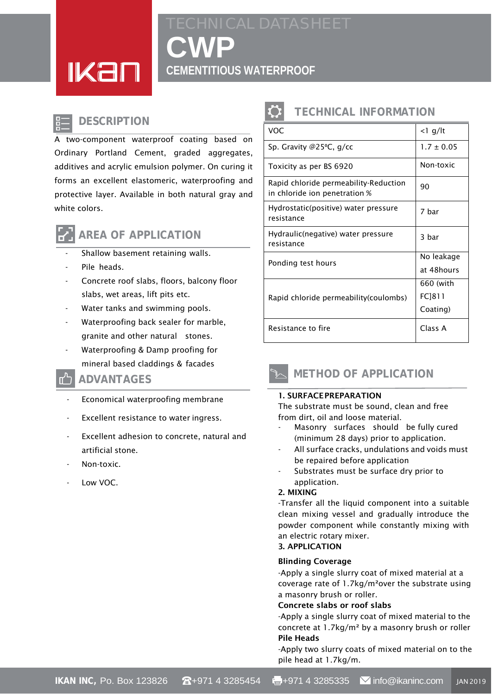<u>IKan</u>

# **CWP CEMENTITIOUS WATERPROOF**

### **DESCRIPTION**

A two-component waterproof coating based on Ordinary Portland Cement, graded aggregates, additives and acrylic emulsion polymer. On curing it forms an excellent elastomeric, waterproofing and protective layer. Available in both natural gray and white colors.



### **AREA OF APPLICATION**

- Shallow basement retaining walls.
- Pile heads.
- Concrete roof slabs, floors, balcony floor slabs, wet areas, lift pits etc.
- Water tanks and swimming pools.
- Waterproofing back sealer for marble, granite and other natural stones.
- Waterproofing & Damp proofing for mineral based claddings & facades

### **ADVANTAGES**

- Economical waterproofing membrane
- Excellent resistance to water ingress.
- Excellent adhesion to concrete, natural and artificial stone.
- Non-toxic.
- Low VOC.

## **TECHNICAL INFORMATION**

| <b>VOC</b>                                                             | $<$ l g/lt     |
|------------------------------------------------------------------------|----------------|
| Sp. Gravity @25°C, g/cc                                                | $1.7 \pm 0.05$ |
| Toxicity as per BS 6920                                                | Non-toxic      |
| Rapid chloride permeability-Reduction<br>in chloride ion penetration % | 90             |
| Hydrostatic(positive) water pressure<br>resistance                     | 7 bar          |
| Hydraulic(negative) water pressure<br>resistance                       | 3 bar          |
| Ponding test hours                                                     | No leakage     |
|                                                                        | at 48hours     |
| Rapid chloride permeability (coulombs)                                 | 660 (with      |
|                                                                        | FC]811         |
|                                                                        | Coating)       |
| Resistance to fire                                                     | Class A        |



#### 1. SURFACEPREPARATION

The substrate must be sound, clean and free from dirt, oil and loose material.

- Masonry surfaces should be fully cured (minimum 28 days) prior to application.
- All surface cracks, undulations and voids must be repaired before application
- Substrates must be surface dry prior to application.

#### 2. MIXING

-Transfer all the liquid component into a suitable clean mixing vessel and gradually introduce the powder component while constantly mixing with an electric rotary mixer.

#### 3. APPLICATION

#### Blinding Coverage

-Apply a single slurry coat of mixed material at a coverage rate of 1.7kg/m²over the substrate using a masonry brush or roller.

#### Concrete slabs or roof slabs

-Apply a single slurry coat of mixed material to the concrete at 1.7kg/m² by a masonry brush or roller Pile Heads

-Apply two slurry coats of mixed material on to the pile head at 1.7kg/m.